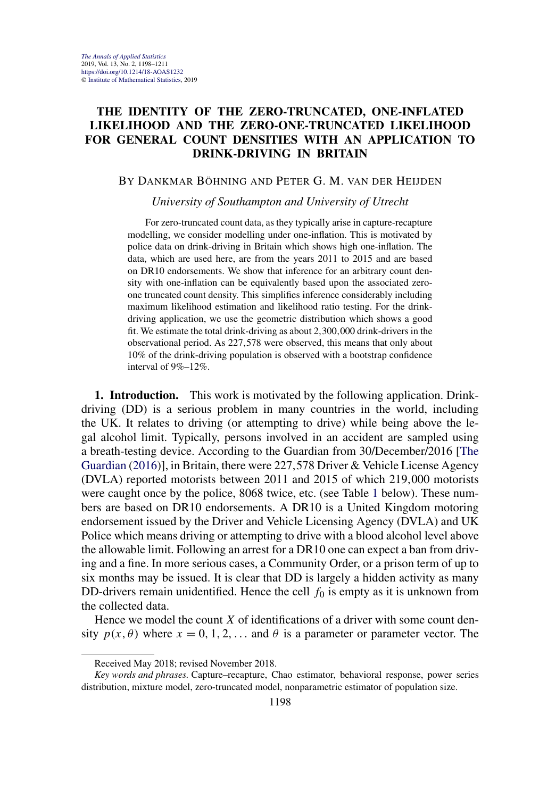# **THE IDENTITY OF THE ZERO-TRUNCATED, ONE-INFLATED LIKELIHOOD AND THE ZERO-ONE-TRUNCATED LIKELIHOOD FOR GENERAL COUNT DENSITIES WITH AN APPLICATION TO DRINK-DRIVING IN BRITAIN**

## BY DANKMAR BÖHNING AND PETER G. M. VAN DER HEIJDEN

### *University of Southampton and University of Utrecht*

For zero-truncated count data, as they typically arise in capture-recapture modelling, we consider modelling under one-inflation. This is motivated by police data on drink-driving in Britain which shows high one-inflation. The data, which are used here, are from the years 2011 to 2015 and are based on DR10 endorsements. We show that inference for an arbitrary count density with one-inflation can be equivalently based upon the associated zeroone truncated count density. This simplifies inference considerably including maximum likelihood estimation and likelihood ratio testing. For the drinkdriving application, we use the geometric distribution which shows a good fit. We estimate the total drink-driving as about 2*,*300*,*000 drink-drivers in the observational period. As 227*,*578 were observed, this means that only about 10% of the drink-driving population is observed with a bootstrap confidence interval of 9%–12%.

**1. Introduction.** This work is motivated by the following application. Drinkdriving (DD) is a serious problem in many countries in the world, including the UK. It relates to driving (or attempting to drive) while being above the legal alcohol limit. Typically, persons involved in an accident are sampled using a breath-testing device. According to the Guardian from 30/December/2016 [\[The](#page-12-0) [Guardian](#page-12-0) [\(2016\)](#page-12-0)], in Britain, there were 227*,*578 Driver & Vehicle License Agency (DVLA) reported motorists between 2011 and 2015 of which 219*,*000 motorists were caught once by the police, 8068 twice, etc. (see Table [1](#page-1-0) below). These numbers are based on DR10 endorsements. A DR10 is a United Kingdom motoring endorsement issued by the Driver and Vehicle Licensing Agency (DVLA) and UK Police which means driving or attempting to drive with a blood alcohol level above the allowable limit. Following an arrest for a DR10 one can expect a ban from driving and a fine. In more serious cases, a Community Order, or a prison term of up to six months may be issued. It is clear that DD is largely a hidden activity as many DD-drivers remain unidentified. Hence the cell  $f_0$  is empty as it is unknown from the collected data.

Hence we model the count *X* of identifications of a driver with some count density  $p(x, \theta)$  where  $x = 0, 1, 2, \ldots$  and  $\theta$  is a parameter or parameter vector. The

Received May 2018; revised November 2018.

*Key words and phrases.* Capture–recapture, Chao estimator, behavioral response, power series distribution, mixture model, zero-truncated model, nonparametric estimator of population size.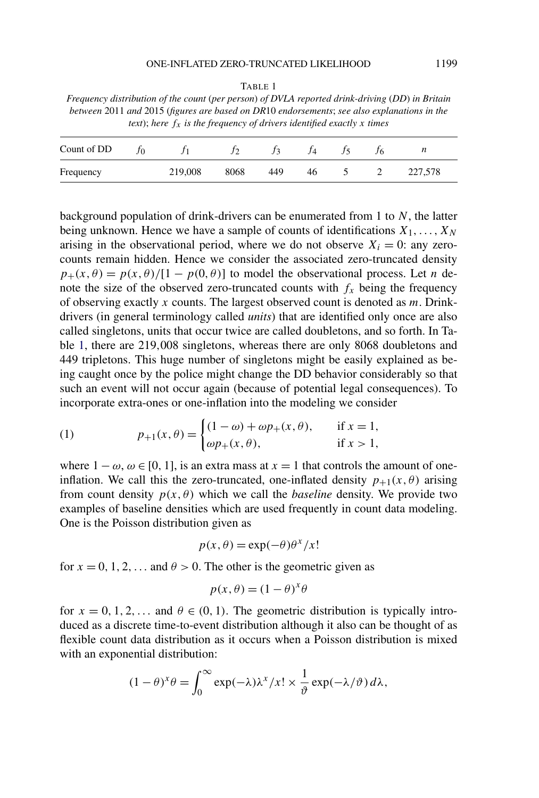<span id="page-1-0"></span>TABLE 1 *Frequency distribution of the count* (*per person*) *of DVLA reported drink-driving* (*DD*) *in Britain between* 2011 *and* 2015 (*figures are based on DR*10 *endorsements*; *see also explanations in the text*); here  $f_x$  *is the frequency of drivers identified exactly x times* 

| Count of DD |         |      |     |    |  | ,,      |  |
|-------------|---------|------|-----|----|--|---------|--|
| Frequency   | 219,008 | 8068 | 449 | 46 |  | 227,578 |  |

background population of drink-drivers can be enumerated from 1 to *N*, the latter being unknown. Hence we have a sample of counts of identifications *X*1*,...,XN* arising in the observational period, where we do not observe  $X_i = 0$ : any zerocounts remain hidden. Hence we consider the associated zero-truncated density  $p_{+}(x, \theta) = p(x, \theta)/[1 - p(0, \theta)]$  to model the observational process. Let *n* denote the size of the observed zero-truncated counts with  $f_x$  being the frequency of observing exactly *x* counts. The largest observed count is denoted as *m*. Drinkdrivers (in general terminology called *units*) that are identified only once are also called singletons, units that occur twice are called doubletons, and so forth. In Table 1, there are 219*,*008 singletons, whereas there are only 8068 doubletons and 449 tripletons. This huge number of singletons might be easily explained as being caught once by the police might change the DD behavior considerably so that such an event will not occur again (because of potential legal consequences). To incorporate extra-ones or one-inflation into the modeling we consider

(1) 
$$
p_{+1}(x, \theta) = \begin{cases} (1 - \omega) + \omega p_{+}(x, \theta), & \text{if } x = 1, \\ \omega p_{+}(x, \theta), & \text{if } x > 1, \end{cases}
$$

where  $1 - \omega$ ,  $\omega \in [0, 1]$ , is an extra mass at  $x = 1$  that controls the amount of oneinflation. We call this the zero-truncated, one-inflated density  $p_{+1}(x, \theta)$  arising from count density  $p(x, \theta)$  which we call the *baseline* density. We provide two examples of baseline densities which are used frequently in count data modeling. One is the Poisson distribution given as

$$
p(x, \theta) = \exp(-\theta)\theta^x/x!
$$

for  $x = 0, 1, 2, \ldots$  and  $\theta > 0$ . The other is the geometric given as

$$
p(x, \theta) = (1 - \theta)^{x} \theta
$$

for  $x = 0, 1, 2, \ldots$  and  $\theta \in (0, 1)$ . The geometric distribution is typically introduced as a discrete time-to-event distribution although it also can be thought of as flexible count data distribution as it occurs when a Poisson distribution is mixed with an exponential distribution:

$$
(1 - \theta)^{x} \theta = \int_0^{\infty} \exp(-\lambda) \lambda^{x} / x! \times \frac{1}{\vartheta} \exp(-\lambda/\vartheta) d\lambda,
$$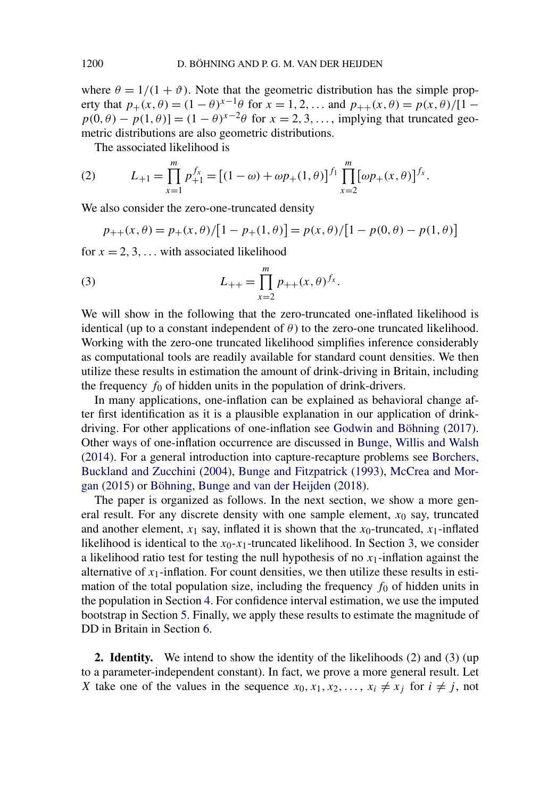where  $\theta = 1/(1 + \vartheta)$ . Note that the geometric distribution has the simple property that  $p_+(x, \theta) = (1 - \theta)^{x-1}\theta$  for  $x = 1, 2, ...$  and  $p_{++}(x, \theta) = p(x, \theta)/[1 - \theta]$  $p(0, \theta) - p(1, \theta) = (1 - \theta)^{x-2}\theta$  for  $x = 2, 3, \dots$ , implying that truncated geometric distributions are also geometric distributions.

The associated likelihood is

(2) 
$$
L_{+1} = \prod_{x=1}^{m} p_{+1}^{f_x} = [(1 - \omega) + \omega p_{+}(1, \theta)]^{f_1} \prod_{x=2}^{m} [\omega p_{+}(x, \theta)]^{f_x}.
$$

We also consider the zero-one-truncated density

$$
p_{++}(x,\theta) = p_{+}(x,\theta)/[1-p_{+}(1,\theta)] = p(x,\theta)/[1-p(0,\theta)-p(1,\theta)]
$$

for  $x = 2, 3, \ldots$  with associated likelihood

(3) 
$$
L_{++} = \prod_{x=2}^{m} p_{++}(x,\theta)^{f_x}.
$$

We will show in the following that the zero-truncated one-inflated likelihood is identical (up to a constant independent of  $\theta$ ) to the zero-one truncated likelihood. Working with the zero-one truncated likelihood simplifies inference considerably as computational tools are readily available for standard count densities. We then utilize these results in estimation the amount of drink-driving in Britain, including the frequency  $f_0$  of hidden units in the population of drink-drivers.

In many applications, one-inflation can be explained as behavioral change after first identification as it is a plausible explanation in our application of drinkdriving. For other applications of one-inflation see [Godwin and Böhning](#page-12-0) [\(2017\)](#page-12-0). Other ways of one-inflation occurrence are discussed in [Bunge, Willis and Walsh](#page-12-0) [\(2014\)](#page-12-0). For a general introduction into capture-recapture problems see [Borchers,](#page-12-0) [Buckland and Zucchini](#page-12-0) [\(2004\)](#page-12-0), [Bunge and Fitzpatrick](#page-12-0) [\(1993\)](#page-12-0), [McCrea and Mor](#page-12-0)[gan](#page-12-0) [\(2015\)](#page-12-0) or [Böhning, Bunge and van der Heijden](#page-12-0) [\(2018\)](#page-12-0).

The paper is organized as follows. In the next section, we show a more general result. For any discrete density with one sample element,  $x_0$  say, truncated and another element,  $x_1$  say, inflated it is shown that the  $x_0$ -truncated,  $x_1$ -inflated likelihood is identical to the  $x_0$ - $x_1$ -truncated likelihood. In Section [3,](#page-4-0) we consider a likelihood ratio test for testing the null hypothesis of no  $x_1$ -inflation against the alternative of  $x_1$ -inflation. For count densities, we then utilize these results in estimation of the total population size, including the frequency  $f_0$  of hidden units in the population in Section [4.](#page-5-0) For confidence interval estimation, we use the imputed bootstrap in Section [5.](#page-6-0) Finally, we apply these results to estimate the magnitude of DD in Britain in Section [6.](#page-6-0)

**2. Identity.** We intend to show the identity of the likelihoods (2) and (3) (up to a parameter-independent constant). In fact, we prove a more general result. Let *X* take one of the values in the sequence  $x_0, x_1, x_2, \ldots, x_i \neq x_j$  for  $i \neq j$ , not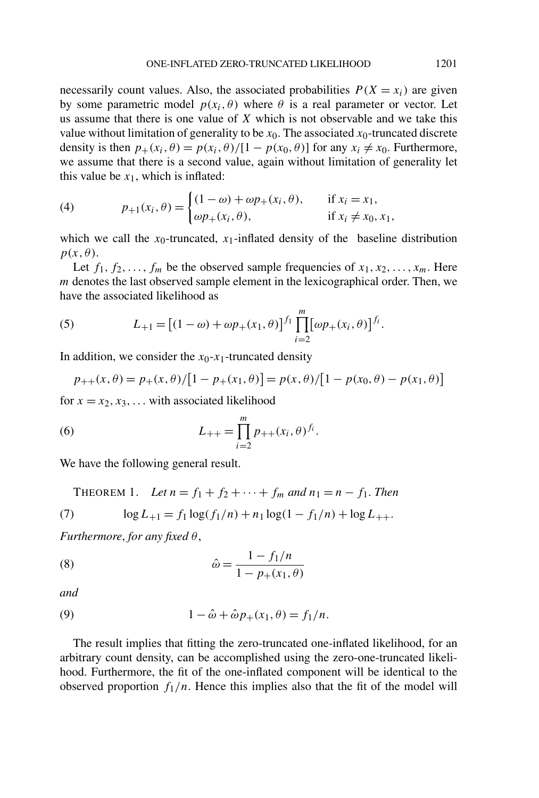<span id="page-3-0"></span>necessarily count values. Also, the associated probabilities  $P(X = x_i)$  are given by some parametric model  $p(x_i, \theta)$  where  $\theta$  is a real parameter or vector. Let us assume that there is one value of *X* which is not observable and we take this value without limitation of generality to be  $x_0$ . The associated  $x_0$ -truncated discrete density is then  $p_+(x_i, \theta) = p(x_i, \theta)/[1 - p(x_0, \theta)]$  for any  $x_i \neq x_0$ . Furthermore, we assume that there is a second value, again without limitation of generality let this value be  $x_1$ , which is inflated:

(4) 
$$
p_{+1}(x_i, \theta) = \begin{cases} (1 - \omega) + \omega p_+(x_i, \theta), & \text{if } x_i = x_1, \\ \omega p_+(x_i, \theta), & \text{if } x_i \neq x_0, x_1, \end{cases}
$$

which we call the  $x_0$ -truncated,  $x_1$ -inflated density of the baseline distribution  $p(x, \theta)$ .

Let  $f_1, f_2, \ldots, f_m$  be the observed sample frequencies of  $x_1, x_2, \ldots, x_m$ . Here *m* denotes the last observed sample element in the lexicographical order. Then, we have the associated likelihood as

(5) 
$$
L_{+1} = [(1 - \omega) + \omega p_{+}(x_1, \theta)]^{f_1} \prod_{i=2}^{m} [\omega p_{+}(x_i, \theta)]^{f_i}.
$$

In addition, we consider the  $x_0$ - $x_1$ -truncated density

$$
p_{++}(x,\theta) = p_{+}(x,\theta)/[1-p_{+}(x_1,\theta)] = p(x,\theta)/[1-p(x_0,\theta)-p(x_1,\theta)]
$$

for  $x = x_2, x_3, \ldots$  with associated likelihood

(6) 
$$
L_{++} = \prod_{i=2}^{m} p_{++}(x_i, \theta)^{f_i}.
$$

We have the following general result.

THEOREM 1. Let  $n = f_1 + f_2 + \cdots + f_m$  and  $n_1 = n - f_1$ . Then

(7) 
$$
\log L_{+1} = f_1 \log(f_1/n) + n_1 \log(1 - f_1/n) + \log L_{++}.
$$

*Furthermore*, *for any fixed θ*,

(8) 
$$
\hat{\omega} = \frac{1 - f_1/n}{1 - p_+(x_1, \theta)}
$$

*and*

(9) 
$$
1 - \hat{\omega} + \hat{\omega} p_{+}(x_1, \theta) = f_1/n.
$$

The result implies that fitting the zero-truncated one-inflated likelihood, for an arbitrary count density, can be accomplished using the zero-one-truncated likelihood. Furthermore, the fit of the one-inflated component will be identical to the observed proportion  $f_1/n$ . Hence this implies also that the fit of the model will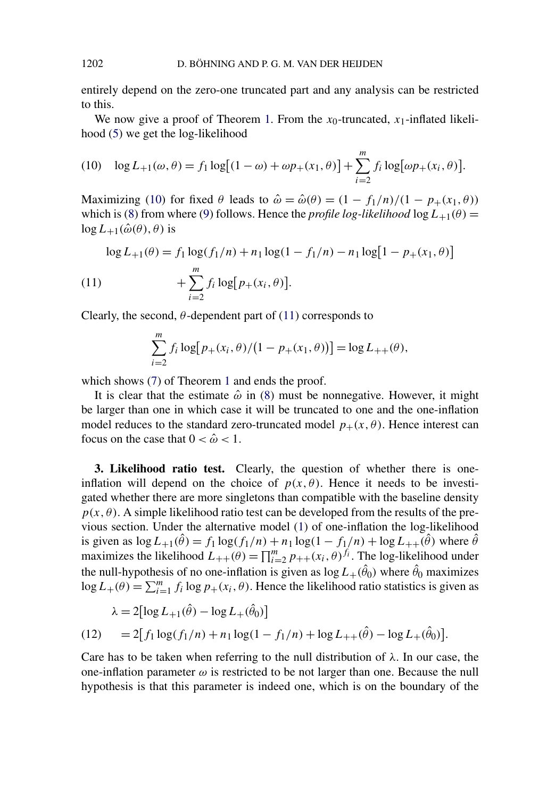<span id="page-4-0"></span>entirely depend on the zero-one truncated part and any analysis can be restricted to this.

We now give a proof of Theorem [1.](#page-3-0) From the  $x_0$ -truncated,  $x_1$ -inflated likelihood [\(5\)](#page-3-0) we get the log-likelihood

(10) 
$$
\log L_{+1}(\omega,\theta) = f_1 \log [(1-\omega) + \omega p_+(x_1,\theta)] + \sum_{i=2}^m f_i \log [\omega p_+(x_i,\theta)].
$$

Maximizing (10) for fixed  $\theta$  leads to  $\hat{\omega} = \hat{\omega}(\theta) = (1 - f_1/n)/(1 - p_+(x_1, \theta))$ which is [\(8\)](#page-3-0) from where [\(9\)](#page-3-0) follows. Hence the *profile log-likelihood*  $\log L_{+1}(\theta)$  =  $\log L_{+1}(\hat{\omega}(\theta), \theta)$  is

$$
\log L_{+1}(\theta) = f_1 \log(f_1/n) + n_1 \log(1 - f_1/n) - n_1 \log[1 - p_+(x_1, \theta)]
$$
  
(11)  

$$
+ \sum_{i=2}^{m} f_i \log[p_+(x_i, \theta)].
$$

Clearly, the second,  $\theta$ -dependent part of (11) corresponds to

$$
\sum_{i=2}^{m} f_i \log [p_+(x_i, \theta) / (1 - p_+(x_1, \theta))] = \log L_{++}(\theta),
$$

which shows [\(7\)](#page-3-0) of Theorem [1](#page-3-0) and ends the proof.

It is clear that the estimate  $\hat{\omega}$  in [\(8\)](#page-3-0) must be nonnegative. However, it might be larger than one in which case it will be truncated to one and the one-inflation model reduces to the standard zero-truncated model  $p_{+}(x, \theta)$ . Hence interest can focus on the case that  $0 < \hat{\omega} < 1$ .

**3. Likelihood ratio test.** Clearly, the question of whether there is oneinflation will depend on the choice of  $p(x, \theta)$ . Hence it needs to be investigated whether there are more singletons than compatible with the baseline density  $p(x, \theta)$ . A simple likelihood ratio test can be developed from the results of the previous section. Under the alternative model [\(1\)](#page-1-0) of one-inflation the log-likelihood is given as  $\log L_{+1}(\hat{\theta}) = f_1 \log(f_1/n) + n_1 \log(1 - f_1/n) + \log L_{++}(\hat{\theta})$  where  $\hat{\theta}$ maximizes the likelihood  $L_{++}(\theta) = \prod_{i=2}^{m} p_{++}(x_i, \theta)^{f_i}$ . The log-likelihood under the null-hypothesis of no one-inflation is given as  $\log L_+(\theta_0)$  where  $\theta_0$  maximizes  $\log L_+(\theta) = \sum_{i=1}^m f_i \log p_+(x_i, \theta)$ . Hence the likelihood ratio statistics is given as

$$
\lambda = 2[\log L_{+1}(\hat{\theta}) - \log L_{+}(\hat{\theta}_{0})]
$$
  
(12) = 2[f<sub>1</sub>log(f<sub>1</sub>/n) + n<sub>1</sub>log(1 - f<sub>1</sub>/n) + log L<sub>++</sub>( $\hat{\theta}$ ) - log L<sub>+</sub>( $\hat{\theta}$ )]

Care has to be taken when referring to the null distribution of *λ*. In our case, the one-inflation parameter  $\omega$  is restricted to be not larger than one. Because the null hypothesis is that this parameter is indeed one, which is on the boundary of the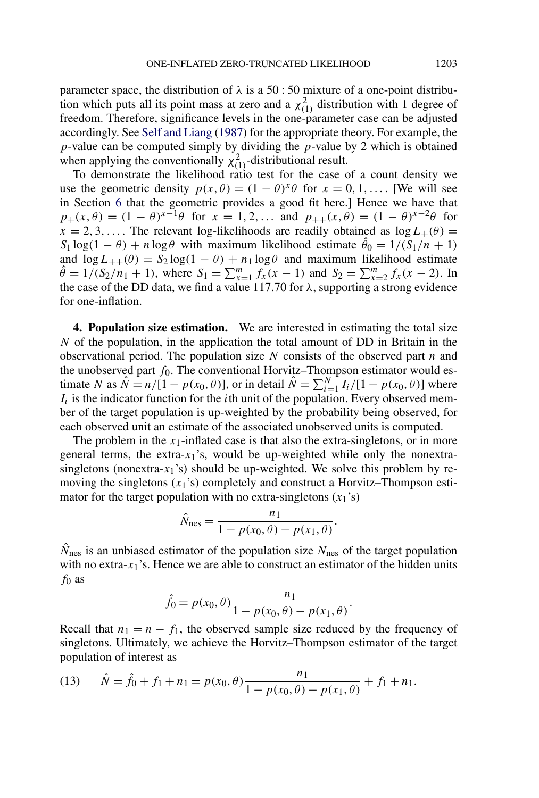<span id="page-5-0"></span>parameter space, the distribution of  $\lambda$  is a 50 : 50 mixture of a one-point distribution which puts all its point mass at zero and a  $\chi^2_{(1)}$  distribution with 1 degree of freedom. Therefore, significance levels in the one-parameter case can be adjusted accordingly. See [Self and Liang](#page-12-0) [\(1987\)](#page-12-0) for the appropriate theory. For example, the *p*-value can be computed simply by dividing the *p*-value by 2 which is obtained when applying the conventionally  $\chi^2_{(1)}$ -distributional result.

To demonstrate the likelihood ratio test for the case of a count density we use the geometric density  $p(x, \theta) = (1 - \theta)^{x} \theta$  for  $x = 0, 1, \dots$  [We will see in Section [6](#page-6-0) that the geometric provides a good fit here.] Hence we have that  $p_{+}(x, \theta) = (1 - \theta)^{x-1}\theta$  for  $x = 1, 2, ...$  and  $p_{++}(x, \theta) = (1 - \theta)^{x-2}\theta$  for  $x = 2, 3, \ldots$ . The relevant log-likelihoods are readily obtained as  $\log L_+(\theta) =$  $S_1 \log(1 - \theta) + n \log \theta$  with maximum likelihood estimate  $\theta_0 = 1/(S_1/n + 1)$ and  $\log L_{++}(\theta) = S_2 \log(1 - \theta) + n_1 \log \theta$  and maximum likelihood estimate  $\hat{\theta} = 1/(S_2/n_1 + 1)$ , where  $S_1 = \sum_{x=1}^m f_x(x-1)$  and  $S_2 = \sum_{x=2}^m f_x(x-2)$ . In the case of the DD data, we find a value 117*.*70 for *λ*, supporting a strong evidence for one-inflation.

**4. Population size estimation.** We are interested in estimating the total size *N* of the population, in the application the total amount of DD in Britain in the observational period. The population size *N* consists of the observed part *n* and the unobserved part  $f_0$ . The conventional Horvitz–Thompson estimator would estimate *N* as  $\hat{N} = n/[1 - p(x_0, \theta)]$ , or in detail  $\hat{N} = \sum_{i=1}^{N} I_i/[1 - p(x_0, \theta)]$  where  $I_i$  is the indicator function for the *i*th unit of the population. Every observed member of the target population is up-weighted by the probability being observed, for each observed unit an estimate of the associated unobserved units is computed.

The problem in the  $x_1$ -inflated case is that also the extra-singletons, or in more general terms, the extra- $x_1$ 's, would be up-weighted while only the nonextrasingletons (nonextra- $x_1$ 's) should be up-weighted. We solve this problem by removing the singletons  $(x_1)$ 's) completely and construct a Horvitz–Thompson estimator for the target population with no extra-singletons  $(x_1)$ 's)

$$
\hat{N}_{\text{nes}} = \frac{n_1}{1 - p(x_0, \theta) - p(x_1, \theta)}.
$$

 $N_{\text{nes}}$  is an unbiased estimator of the population size  $N_{\text{nes}}$  of the target population with no extra- $x_1$ 's. Hence we are able to construct an estimator of the hidden units *f*<sup>0</sup> as

$$
\hat{f}_0 = p(x_0, \theta) \frac{n_1}{1 - p(x_0, \theta) - p(x_1, \theta)}.
$$

Recall that  $n_1 = n - f_1$ , the observed sample size reduced by the frequency of singletons. Ultimately, we achieve the Horvitz–Thompson estimator of the target population of interest as

(13) 
$$
\hat{N} = \hat{f}_0 + f_1 + n_1 = p(x_0, \theta) \frac{n_1}{1 - p(x_0, \theta) - p(x_1, \theta)} + f_1 + n_1.
$$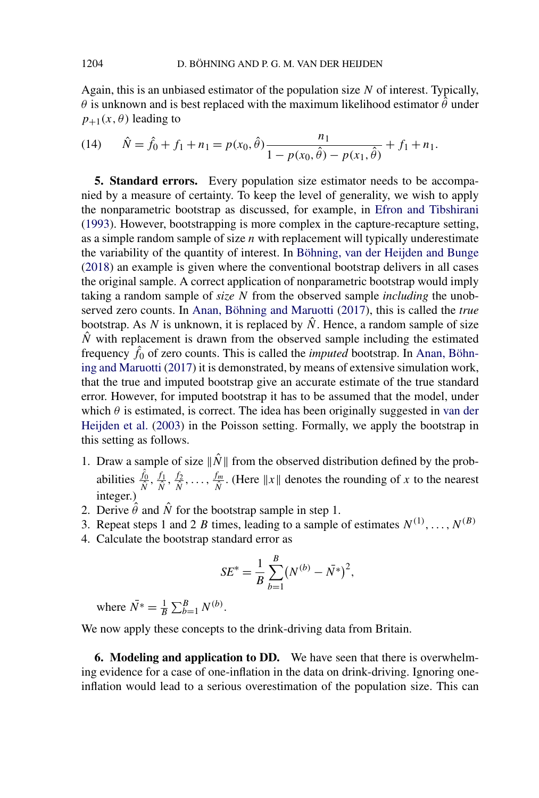<span id="page-6-0"></span>Again, this is an unbiased estimator of the population size *N* of interest. Typically,  $\theta$  is unknown and is best replaced with the maximum likelihood estimator  $\hat{\theta}$  under  $p_{+1}(x, \theta)$  leading to

(14) 
$$
\hat{N} = \hat{f}_0 + f_1 + n_1 = p(x_0, \hat{\theta}) \frac{n_1}{1 - p(x_0, \hat{\theta}) - p(x_1, \hat{\theta})} + f_1 + n_1.
$$

**5. Standard errors.** Every population size estimator needs to be accompanied by a measure of certainty. To keep the level of generality, we wish to apply the nonparametric bootstrap as discussed, for example, in [Efron and Tibshirani](#page-12-0) [\(1993\)](#page-12-0). However, bootstrapping is more complex in the capture-recapture setting, as a simple random sample of size *n* with replacement will typically underestimate the variability of the quantity of interest. In [Böhning, van der Heijden and Bunge](#page-12-0) [\(2018\)](#page-12-0) an example is given where the conventional bootstrap delivers in all cases the original sample. A correct application of nonparametric bootstrap would imply taking a random sample of *size N* from the observed sample *including* the unobserved zero counts. In [Anan, Böhning and Maruotti](#page-12-0) [\(2017\)](#page-12-0), this is called the *true* bootstrap. As N is unknown, it is replaced by  $\hat{N}$ . Hence, a random sample of size  $\hat{N}$  with replacement is drawn from the observed sample including the estimated frequency  $\hat{f}_0$  of zero counts. This is called the *imputed* bootstrap. In [Anan, Böhn](#page-12-0)[ing and Maruotti](#page-12-0) [\(2017\)](#page-12-0) it is demonstrated, by means of extensive simulation work, that the true and imputed bootstrap give an accurate estimate of the true standard error. However, for imputed bootstrap it has to be assumed that the model, under which  $\theta$  is estimated, is correct. The idea has been originally suggested in [van der](#page-12-0) [Heijden et al.](#page-12-0) [\(2003\)](#page-12-0) in the Poisson setting. Formally, we apply the bootstrap in this setting as follows.

- 1. Draw a sample of size  $\|\hat{N}\|$  from the observed distribution defined by the probabilities  $\frac{f_0}{\hat{N}}, \frac{f_1}{\hat{N}}, \frac{f_2}{\hat{N}}, \dots, \frac{f_m}{\hat{N}}$ . (Here  $||x||$  denotes the rounding of *x* to the nearest integer.)
- 2. Derive  $\hat{\theta}$  and  $\hat{N}$  for the bootstrap sample in step 1.
- 3. Repeat steps 1 and 2 *B* times, leading to a sample of estimates  $N^{(1)}, \ldots, N^{(B)}$
- 4. Calculate the bootstrap standard error as

$$
SE^* = \frac{1}{B} \sum_{b=1}^{B} (N^{(b)} - \bar{N^*})^2,
$$

where  $\bar{N^*} = \frac{1}{B} \sum_{b=1}^{B} N^{(b)}$ .

We now apply these concepts to the drink-driving data from Britain.

**6. Modeling and application to DD.** We have seen that there is overwhelming evidence for a case of one-inflation in the data on drink-driving. Ignoring oneinflation would lead to a serious overestimation of the population size. This can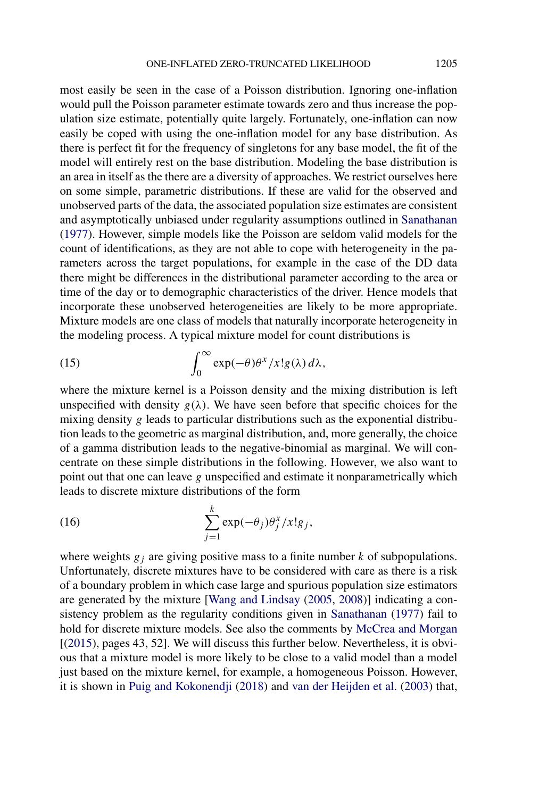most easily be seen in the case of a Poisson distribution. Ignoring one-inflation would pull the Poisson parameter estimate towards zero and thus increase the population size estimate, potentially quite largely. Fortunately, one-inflation can now easily be coped with using the one-inflation model for any base distribution. As there is perfect fit for the frequency of singletons for any base model, the fit of the model will entirely rest on the base distribution. Modeling the base distribution is an area in itself as the there are a diversity of approaches. We restrict ourselves here on some simple, parametric distributions. If these are valid for the observed and unobserved parts of the data, the associated population size estimates are consistent and asymptotically unbiased under regularity assumptions outlined in [Sanathanan](#page-12-0) [\(1977\)](#page-12-0). However, simple models like the Poisson are seldom valid models for the count of identifications, as they are not able to cope with heterogeneity in the parameters across the target populations, for example in the case of the DD data there might be differences in the distributional parameter according to the area or time of the day or to demographic characteristics of the driver. Hence models that incorporate these unobserved heterogeneities are likely to be more appropriate. Mixture models are one class of models that naturally incorporate heterogeneity in the modeling process. A typical mixture model for count distributions is

(15) 
$$
\int_0^\infty \exp(-\theta) \theta^x/x! g(\lambda) d\lambda,
$$

where the mixture kernel is a Poisson density and the mixing distribution is left unspecified with density  $g(\lambda)$ . We have seen before that specific choices for the mixing density *g* leads to particular distributions such as the exponential distribution leads to the geometric as marginal distribution, and, more generally, the choice of a gamma distribution leads to the negative-binomial as marginal. We will concentrate on these simple distributions in the following. However, we also want to point out that one can leave *g* unspecified and estimate it nonparametrically which leads to discrete mixture distributions of the form

(16) 
$$
\sum_{j=1}^{k} \exp(-\theta_j) \theta_j^x / x! g_j,
$$

where weights  $g_j$  are giving positive mass to a finite number  $k$  of subpopulations. Unfortunately, discrete mixtures have to be considered with care as there is a risk of a boundary problem in which case large and spurious population size estimators are generated by the mixture [\[Wang and Lindsay](#page-12-0) [\(2005,](#page-12-0) [2008\)](#page-13-0)] indicating a consistency problem as the regularity conditions given in [Sanathanan](#page-12-0) [\(1977\)](#page-12-0) fail to hold for discrete mixture models. See also the comments by [McCrea and Morgan](#page-12-0) [[\(2015\)](#page-12-0), pages 43, 52]. We will discuss this further below. Nevertheless, it is obvious that a mixture model is more likely to be close to a valid model than a model just based on the mixture kernel, for example, a homogeneous Poisson. However, it is shown in [Puig and Kokonendji](#page-12-0) [\(2018\)](#page-12-0) and [van der Heijden et al.](#page-12-0) [\(2003\)](#page-12-0) that,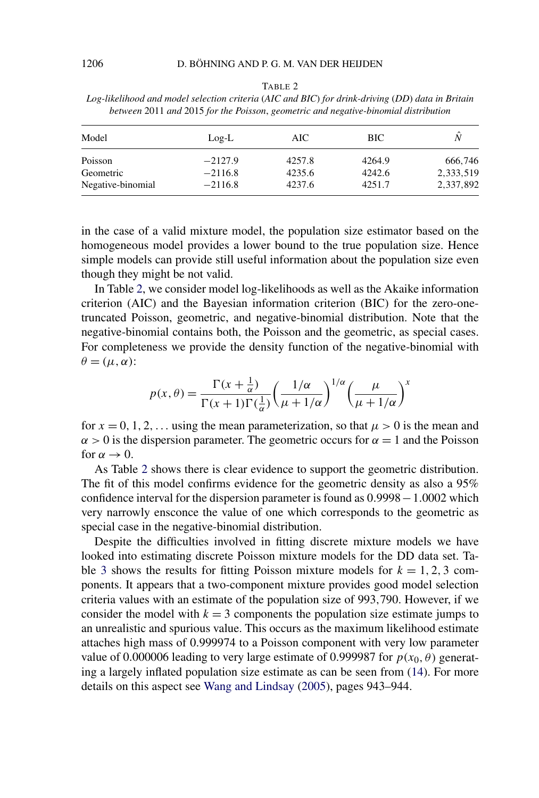| Ι.<br>в<br>ı. |
|---------------|
|---------------|

*Log-likelihood and model selection criteria* (*AIC and BIC*) *for drink-driving* (*DD*) *data in Britain between* 2011 *and* 2015 *for the Poisson*, *geometric and negative-binomial distribution*

| Model             | $Log-L$   | AIC    | <b>BIC</b> | Ñ         |
|-------------------|-----------|--------|------------|-----------|
| Poisson           | $-2127.9$ | 4257.8 | 4264.9     | 666.746   |
| Geometric         | $-2116.8$ | 4235.6 | 4242.6     | 2,333,519 |
| Negative-binomial | $-2116.8$ | 4237.6 | 4251.7     | 2.337.892 |

in the case of a valid mixture model, the population size estimator based on the homogeneous model provides a lower bound to the true population size. Hence simple models can provide still useful information about the population size even though they might be not valid.

In Table 2, we consider model log-likelihoods as well as the Akaike information criterion (AIC) and the Bayesian information criterion (BIC) for the zero-onetruncated Poisson, geometric, and negative-binomial distribution. Note that the negative-binomial contains both, the Poisson and the geometric, as special cases. For completeness we provide the density function of the negative-binomial with  $\theta = (\mu, \alpha)$ :

$$
p(x,\theta) = \frac{\Gamma(x+\frac{1}{\alpha})}{\Gamma(x+1)\Gamma(\frac{1}{\alpha})} \left(\frac{1/\alpha}{\mu+1/\alpha}\right)^{1/\alpha} \left(\frac{\mu}{\mu+1/\alpha}\right)^x
$$

for  $x = 0, 1, 2, \ldots$  using the mean parameterization, so that  $\mu > 0$  is the mean and  $\alpha$  > 0 is the dispersion parameter. The geometric occurs for  $\alpha$  = 1 and the Poisson for  $\alpha \rightarrow 0$ .

As Table 2 shows there is clear evidence to support the geometric distribution. The fit of this model confirms evidence for the geometric density as also a 95% confidence interval for the dispersion parameter is found as 0*.*9998−1*.*0002 which very narrowly ensconce the value of one which corresponds to the geometric as special case in the negative-binomial distribution.

Despite the difficulties involved in fitting discrete mixture models we have looked into estimating discrete Poisson mixture models for the DD data set. Ta-ble [3](#page-9-0) shows the results for fitting Poisson mixture models for  $k = 1, 2, 3$  components. It appears that a two-component mixture provides good model selection criteria values with an estimate of the population size of 993*,*790. However, if we consider the model with  $k = 3$  components the population size estimate jumps to an unrealistic and spurious value. This occurs as the maximum likelihood estimate attaches high mass of 0*.*999974 to a Poisson component with very low parameter value of 0.000006 leading to very large estimate of 0.999987 for  $p(x_0, \theta)$  generating a largely inflated population size estimate as can be seen from [\(14\)](#page-6-0). For more details on this aspect see [Wang and Lindsay](#page-12-0) [\(2005\)](#page-12-0), pages 943–944.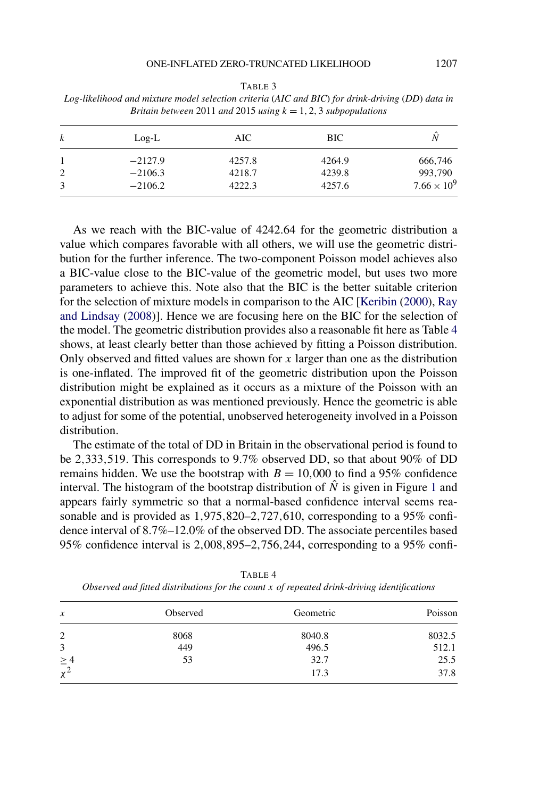#### ONE-INFLATED ZERO-TRUNCATED LIKELIHOOD 1207

| Britain between 2011 and 2015 using $k = 1, 2, 3$ subpopulations |           |        |        |                      |  |  |
|------------------------------------------------------------------|-----------|--------|--------|----------------------|--|--|
| $\boldsymbol{k}$                                                 | $Log-L$   | AIC-   | BIC.   | N                    |  |  |
|                                                                  | $-2127.9$ | 4257.8 | 4264.9 | 666,746              |  |  |
| 2                                                                | $-2106.3$ | 4218.7 | 4239.8 | 993,790              |  |  |
| 3                                                                | $-2106.2$ | 4222.3 | 4257.6 | $7.66 \times 10^{9}$ |  |  |

<span id="page-9-0"></span>TABLE 3 *Log-likelihood and mixture model selection criteria* (*AIC and BIC*) *for drink-driving* (*DD*) *data in*

As we reach with the BIC-value of 4242*.*64 for the geometric distribution a value which compares favorable with all others, we will use the geometric distribution for the further inference. The two-component Poisson model achieves also a BIC-value close to the BIC-value of the geometric model, but uses two more parameters to achieve this. Note also that the BIC is the better suitable criterion for the selection of mixture models in comparison to the AIC [\[Keribin](#page-12-0) [\(2000\)](#page-12-0), [Ray](#page-12-0) [and Lindsay](#page-12-0) [\(2008\)](#page-12-0)]. Hence we are focusing here on the BIC for the selection of the model. The geometric distribution provides also a reasonable fit here as Table 4 shows, at least clearly better than those achieved by fitting a Poisson distribution. Only observed and fitted values are shown for *x* larger than one as the distribution is one-inflated. The improved fit of the geometric distribution upon the Poisson distribution might be explained as it occurs as a mixture of the Poisson with an exponential distribution as was mentioned previously. Hence the geometric is able to adjust for some of the potential, unobserved heterogeneity involved in a Poisson distribution.

The estimate of the total of DD in Britain in the observational period is found to be 2*,*333*,*519. This corresponds to 9.7% observed DD, so that about 90% of DD remains hidden. We use the bootstrap with  $B = 10,000$  to find a 95% confidence interval. The histogram of the bootstrap distribution of  $\hat{N}$  is given in Figure [1](#page-10-0) and appears fairly symmetric so that a normal-based confidence interval seems reasonable and is provided as 1*,*975*,*820–2*,*727*,*610, corresponding to a 95% confidence interval of 8.7%–12.0% of the observed DD. The associate percentiles based 95% confidence interval is 2*,*008*,*895–2*,*756*,*244, corresponding to a 95% confi-

| $\boldsymbol{x}$     | Observed | Geometric | Poisson |  |
|----------------------|----------|-----------|---------|--|
| 2                    | 8068     | 8040.8    | 8032.5  |  |
| 3                    | 449      | 496.5     | 512.1   |  |
|                      | 53       | 32.7      | 25.5    |  |
| $\geq \frac{4}{x^2}$ |          | 17.3      | 37.8    |  |

TABLE 4

*Observed and fitted distributions for the count x of repeated drink-driving identifications*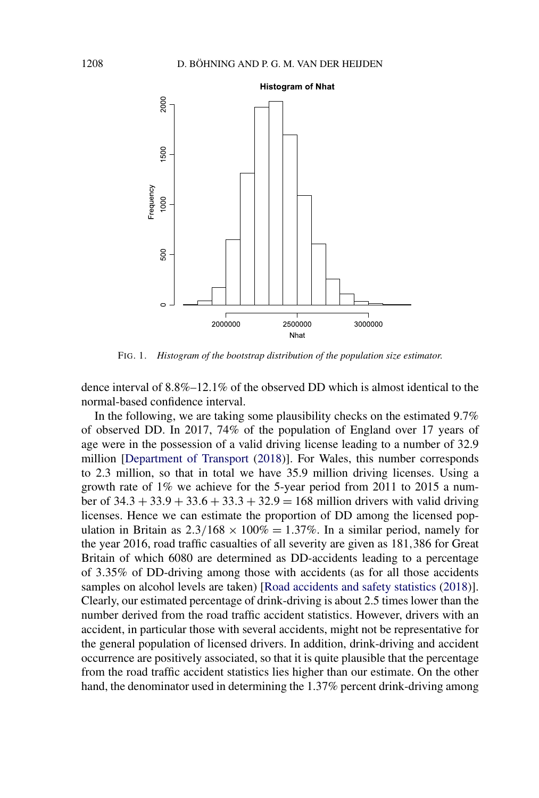<span id="page-10-0"></span>

FIG. 1. *Histogram of the bootstrap distribution of the population size estimator*.

dence interval of 8.8%–12.1% of the observed DD which is almost identical to the normal-based confidence interval.

In the following, we are taking some plausibility checks on the estimated 9.7% of observed DD. In 2017, 74% of the population of England over 17 years of age were in the possession of a valid driving license leading to a number of 32.9 million [\[Department of Transport](#page-12-0) [\(2018\)](#page-12-0)]. For Wales, this number corresponds to 2.3 million, so that in total we have 35.9 million driving licenses. Using a growth rate of 1% we achieve for the 5-year period from 2011 to 2015 a number of 34*.*3 + 33*.*9 + 33*.*6 + 33*.*3 + 32*.*9 = 168 million drivers with valid driving licenses. Hence we can estimate the proportion of DD among the licensed population in Britain as  $2.3/168 \times 100\% = 1.37\%$ . In a similar period, namely for the year 2016, road traffic casualties of all severity are given as 181*,*386 for Great Britain of which 6080 are determined as DD-accidents leading to a percentage of 3*.*35% of DD-driving among those with accidents (as for all those accidents samples on alcohol levels are taken) [\[Road accidents and safety statistics](#page-12-0) [\(2018\)](#page-12-0)]. Clearly, our estimated percentage of drink-driving is about 2.5 times lower than the number derived from the road traffic accident statistics. However, drivers with an accident, in particular those with several accidents, might not be representative for the general population of licensed drivers. In addition, drink-driving and accident occurrence are positively associated, so that it is quite plausible that the percentage from the road traffic accident statistics lies higher than our estimate. On the other hand, the denominator used in determining the 1.37% percent drink-driving among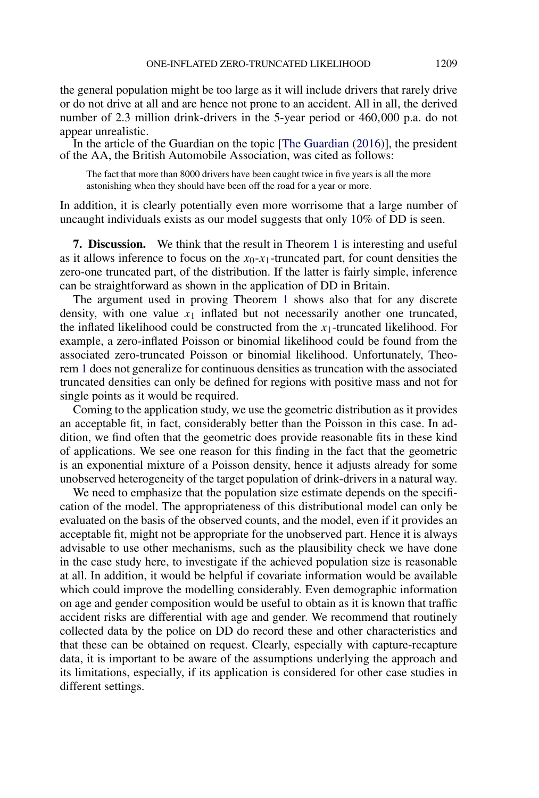the general population might be too large as it will include drivers that rarely drive or do not drive at all and are hence not prone to an accident. All in all, the derived number of 2.3 million drink-drivers in the 5-year period or 460*,*000 p.a. do not appear unrealistic.

In the article of the Guardian on the topic [\[The Guardian](#page-12-0)  $(2016)$ ], the president of the AA, the British Automobile Association, was cited as follows:

The fact that more than 8000 drivers have been caught twice in five years is all the more astonishing when they should have been off the road for a year or more.

In addition, it is clearly potentially even more worrisome that a large number of uncaught individuals exists as our model suggests that only 10% of DD is seen.

**7. Discussion.** We think that the result in Theorem [1](#page-3-0) is interesting and useful as it allows inference to focus on the  $x_0$ - $x_1$ -truncated part, for count densities the zero-one truncated part, of the distribution. If the latter is fairly simple, inference can be straightforward as shown in the application of DD in Britain.

The argument used in proving Theorem [1](#page-3-0) shows also that for any discrete density, with one value *x*<sup>1</sup> inflated but not necessarily another one truncated, the inflated likelihood could be constructed from the  $x_1$ -truncated likelihood. For example, a zero-inflated Poisson or binomial likelihood could be found from the associated zero-truncated Poisson or binomial likelihood. Unfortunately, Theorem [1](#page-3-0) does not generalize for continuous densities as truncation with the associated truncated densities can only be defined for regions with positive mass and not for single points as it would be required.

Coming to the application study, we use the geometric distribution as it provides an acceptable fit, in fact, considerably better than the Poisson in this case. In addition, we find often that the geometric does provide reasonable fits in these kind of applications. We see one reason for this finding in the fact that the geometric is an exponential mixture of a Poisson density, hence it adjusts already for some unobserved heterogeneity of the target population of drink-drivers in a natural way.

We need to emphasize that the population size estimate depends on the specification of the model. The appropriateness of this distributional model can only be evaluated on the basis of the observed counts, and the model, even if it provides an acceptable fit, might not be appropriate for the unobserved part. Hence it is always advisable to use other mechanisms, such as the plausibility check we have done in the case study here, to investigate if the achieved population size is reasonable at all. In addition, it would be helpful if covariate information would be available which could improve the modelling considerably. Even demographic information on age and gender composition would be useful to obtain as it is known that traffic accident risks are differential with age and gender. We recommend that routinely collected data by the police on DD do record these and other characteristics and that these can be obtained on request. Clearly, especially with capture-recapture data, it is important to be aware of the assumptions underlying the approach and its limitations, especially, if its application is considered for other case studies in different settings.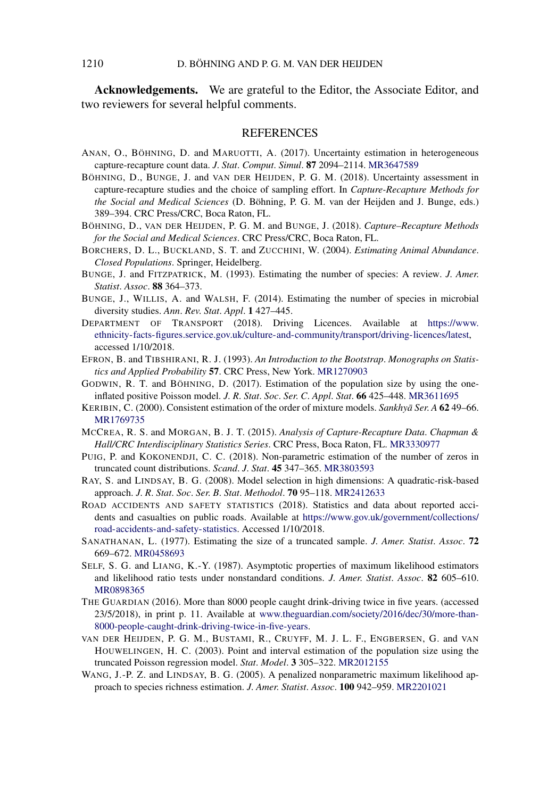<span id="page-12-0"></span>**Acknowledgements.** We are grateful to the Editor, the Associate Editor, and two reviewers for several helpful comments.

## **REFERENCES**

- ANAN, O., BÖHNING, D. and MARUOTTI, A. (2017). Uncertainty estimation in heterogeneous capture-recapture count data. *J*. *Stat*. *Comput*. *Simul*. **87** 2094–2114. [MR3647589](http://www.ams.org/mathscinet-getitem?mr=3647589)
- BÖHNING, D., BUNGE, J. and VAN DER HEIJDEN, P. G. M. (2018). Uncertainty assessment in capture-recapture studies and the choice of sampling effort. In *Capture-Recapture Methods for the Social and Medical Sciences* (D. Böhning, P. G. M. van der Heijden and J. Bunge, eds.) 389–394. CRC Press/CRC, Boca Raton, FL.
- BÖHNING, D., VAN DER HEIJDEN, P. G. M. and BUNGE, J. (2018). *Capture–Recapture Methods for the Social and Medical Sciences*. CRC Press/CRC, Boca Raton, FL.
- BORCHERS, D. L., BUCKLAND, S. T. and ZUCCHINI, W. (2004). *Estimating Animal Abundance*. *Closed Populations*. Springer, Heidelberg.
- BUNGE, J. and FITZPATRICK, M. (1993). Estimating the number of species: A review. *J*. *Amer*. *Statist*. *Assoc*. **88** 364–373.
- BUNGE, J., WILLIS, A. and WALSH, F. (2014). Estimating the number of species in microbial diversity studies. *Ann*. *Rev*. *Stat*. *Appl*. **1** 427–445.
- DEPARTMENT OF TRANSPORT (2018). Driving Licences. Available at [https://www.](https://www.ethnicity-facts-figures.service.gov.uk/culture-and-community/transport/driving-licences/latest) [ethnicity-facts-figures.service.gov.uk/culture-and-community/transport/driving-licences/latest](https://www.ethnicity-facts-figures.service.gov.uk/culture-and-community/transport/driving-licences/latest), accessed 1/10/2018.
- EFRON, B. and TIBSHIRANI, R. J. (1993). *An Introduction to the Bootstrap*. *Monographs on Statistics and Applied Probability* **57**. CRC Press, New York. [MR1270903](http://www.ams.org/mathscinet-getitem?mr=1270903)
- GODWIN, R. T. and BÖHNING, D. (2017). Estimation of the population size by using the oneinflated positive Poisson model. *J*. *R*. *Stat*. *Soc*. *Ser*. *C*. *Appl*. *Stat*. **66** 425–448. [MR3611695](http://www.ams.org/mathscinet-getitem?mr=3611695)
- KERIBIN, C. (2000). Consistent estimation of the order of mixture models. *Sankhya Ser*. A 6249–66. [MR1769735](http://www.ams.org/mathscinet-getitem?mr=1769735)
- MCCREA, R. S. and MORGAN, B. J. T. (2015). *Analysis of Capture-Recapture Data*. *Chapman & Hall/CRC Interdisciplinary Statistics Series*. CRC Press, Boca Raton, FL. [MR3330977](http://www.ams.org/mathscinet-getitem?mr=3330977)
- PUIG, P. and KOKONENDJI, C. C. (2018). Non-parametric estimation of the number of zeros in truncated count distributions. *Scand*. *J*. *Stat*. **45** 347–365. [MR3803593](http://www.ams.org/mathscinet-getitem?mr=3803593)
- RAY, S. and LINDSAY, B. G. (2008). Model selection in high dimensions: A quadratic-risk-based approach. *J*. *R*. *Stat*. *Soc*. *Ser*. *B*. *Stat*. *Methodol*. **70** 95–118. [MR2412633](http://www.ams.org/mathscinet-getitem?mr=2412633)
- ROAD ACCIDENTS AND SAFETY STATISTICS (2018). Statistics and data about reported accidents and casualties on public roads. Available at [https://www.gov.uk/government/collections/](https://www.gov.uk/government/collections/road-accidents-and-safety-statistics) [road-accidents-and-safety-statistics.](https://www.gov.uk/government/collections/road-accidents-and-safety-statistics) Accessed 1/10/2018.
- SANATHANAN, L. (1977). Estimating the size of a truncated sample. *J*. *Amer*. *Statist*. *Assoc*. **72** 669–672. [MR0458693](http://www.ams.org/mathscinet-getitem?mr=0458693)
- SELF, S. G. and LIANG, K.-Y. (1987). Asymptotic properties of maximum likelihood estimators and likelihood ratio tests under nonstandard conditions. *J*. *Amer*. *Statist*. *Assoc*. **82** 605–610. [MR0898365](http://www.ams.org/mathscinet-getitem?mr=0898365)
- THE GUARDIAN (2016). More than 8000 people caught drink-driving twice in five years. (accessed 23/5/2018), in print p. 11. Available at [www.theguardian.com/society/2016/dec/30/more-than-](http://www.theguardian.com/society/2016/dec/30/more-than-8000-people-caught-drink-driving-twice-in-five-years)[8000-people-caught-drink-driving-twice-in-five-years.](http://www.theguardian.com/society/2016/dec/30/more-than-8000-people-caught-drink-driving-twice-in-five-years)
- VAN DER HEIJDEN, P. G. M., BUSTAMI, R., CRUYFF, M. J. L. F., ENGBERSEN, G. and VAN HOUWELINGEN, H. C. (2003). Point and interval estimation of the population size using the truncated Poisson regression model. *Stat*. *Model*. **3** 305–322. [MR2012155](http://www.ams.org/mathscinet-getitem?mr=2012155)
- WANG, J.-P. Z. and LINDSAY, B. G. (2005). A penalized nonparametric maximum likelihood approach to species richness estimation. *J*. *Amer*. *Statist*. *Assoc*. **100** 942–959. [MR2201021](http://www.ams.org/mathscinet-getitem?mr=2201021)